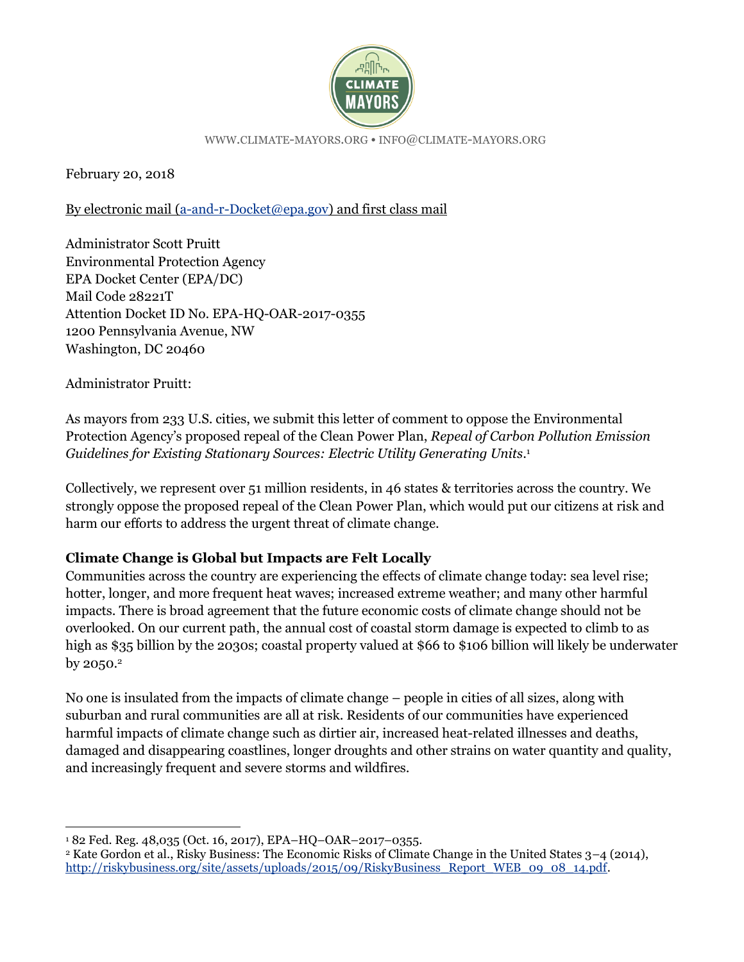

WWW.[CLIMATE](http://www.climate-mayors.org/)-MAYORS.ORG •INFO@[CLIMATE](mailto:info@climate-mayors.org)-MAYORS.ORG

February 20, 2018

By electronic mail [\(a-and-r-Docket@epa.gov\)](mailto:a-and-r-Docket@epa.gov) and first class mail

Administrator Scott Pruitt Environmental Protection Agency EPA Docket Center (EPA/DC) Mail Code 28221T Attention Docket ID No. EPA-HQ-OAR-2017-0355 1200 Pennsylvania Avenue, NW Washington, DC 20460

Administrator Pruitt:

 $\overline{a}$ 

As mayors from 233 U.S. cities, we submit this letter of comment to oppose the Environmental Protection Agency's proposed repeal of the Clean Power Plan, *Repeal of Carbon Pollution Emission Guidelines for Existing Stationary Sources: Electric Utility Generating Units*. 1

Collectively, we represent over 51 million residents, in 46 states & territories across the country. We strongly oppose the proposed repeal of the Clean Power Plan, which would put our citizens at risk and harm our efforts to address the urgent threat of climate change.

## **Climate Change is Global but Impacts are Felt Locally**

Communities across the country are experiencing the effects of climate change today: sea level rise; hotter, longer, and more frequent heat waves; increased extreme weather; and many other harmful impacts. There is broad agreement that the future economic costs of climate change should not be overlooked. On our current path, the annual cost of coastal storm damage is expected to climb to as high as \$35 billion by the 2030s; coastal property valued at \$66 to \$106 billion will likely be underwater by  $2050.<sup>2</sup>$ 

No one is insulated from the impacts of climate change – people in cities of all sizes, along with suburban and rural communities are all at risk. Residents of our communities have experienced harmful impacts of climate change such as dirtier air, increased heat-related illnesses and deaths, damaged and disappearing coastlines, longer droughts and other strains on water quantity and quality, and increasingly frequent and severe storms and wildfires.

<sup>1</sup> 82 Fed. Reg. 48,035 (Oct. 16, 2017), EPA–HQ–OAR–2017–0355.

<sup>2</sup> Kate Gordon et al., Risky Business: The Economic Risks of Climate Change in the United States 3–4 (2014), [http://riskybusiness.org/site/assets/uploads/2015/09/RiskyBusiness\\_Report\\_WEB\\_09\\_08\\_14.pdf.](http://riskybusiness.org/site/assets/uploads/2015/09/RiskyBusiness_Report_WEB_09_08_14.pdf)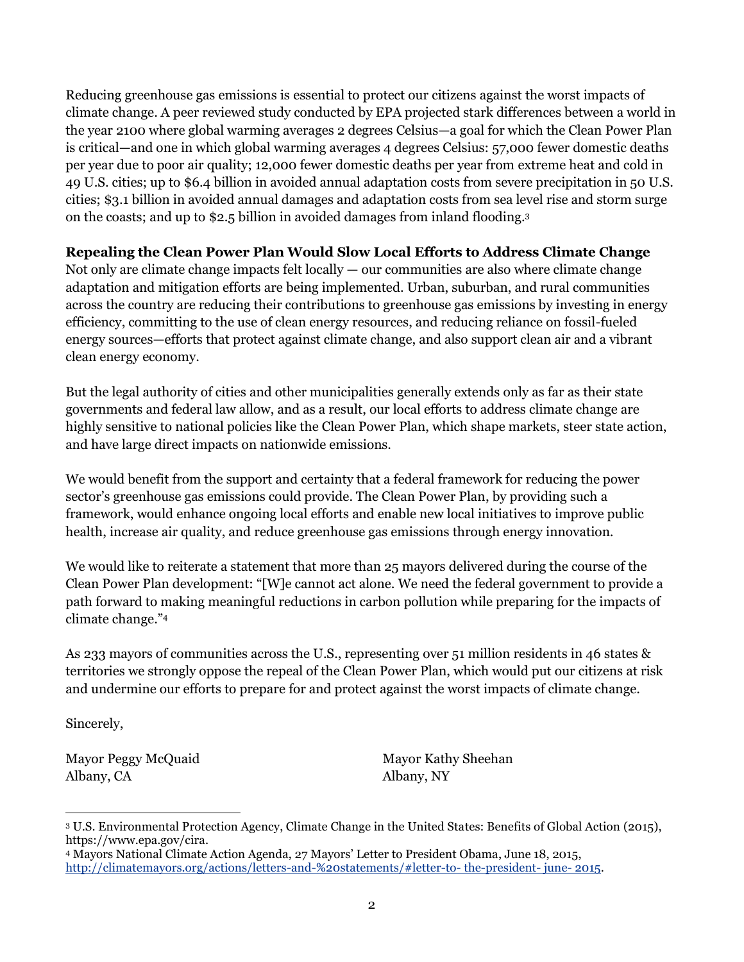Reducing greenhouse gas emissions is essential to protect our citizens against the worst impacts of climate change. A peer reviewed study conducted by EPA projected stark differences between a world in the year 2100 where global warming averages 2 degrees Celsius—a goal for which the Clean Power Plan is critical—and one in which global warming averages 4 degrees Celsius: 57,000 fewer domestic deaths per year due to poor air quality; 12,000 fewer domestic deaths per year from extreme heat and cold in 49 U.S. cities; up to \$6.4 billion in avoided annual adaptation costs from severe precipitation in 50 U.S. cities; \$3.1 billion in avoided annual damages and adaptation costs from sea level rise and storm surge on the coasts; and up to \$2.5 billion in avoided damages from inland flooding.<sup>3</sup>

## **Repealing the Clean Power Plan Would Slow Local Efforts to Address Climate Change**

Not only are climate change impacts felt locally  $-$  our communities are also where climate change adaptation and mitigation efforts are being implemented. Urban, suburban, and rural communities across the country are reducing their contributions to greenhouse gas emissions by investing in energy efficiency, committing to the use of clean energy resources, and reducing reliance on fossil-fueled energy sources—efforts that protect against climate change, and also support clean air and a vibrant clean energy economy.

But the legal authority of cities and other municipalities generally extends only as far as their state governments and federal law allow, and as a result, our local efforts to address climate change are highly sensitive to national policies like the Clean Power Plan, which shape markets, steer state action, and have large direct impacts on nationwide emissions.

We would benefit from the support and certainty that a federal framework for reducing the power sector's greenhouse gas emissions could provide. The Clean Power Plan, by providing such a framework, would enhance ongoing local efforts and enable new local initiatives to improve public health, increase air quality, and reduce greenhouse gas emissions through energy innovation.

We would like to reiterate a statement that more than 25 mayors delivered during the course of the Clean Power Plan development: "[W]e cannot act alone. We need the federal government to provide a path forward to making meaningful reductions in carbon pollution while preparing for the impacts of climate change."<sup>4</sup>

As 233 mayors of communities across the U.S., representing over 51 million residents in 46 states & territories we strongly oppose the repeal of the Clean Power Plan, which would put our citizens at risk and undermine our efforts to prepare for and protect against the worst impacts of climate change.

Sincerely,

 $\overline{a}$ 

Mayor Peggy McQuaid Albany, CA

Mayor Kathy Sheehan Albany, NY

<sup>3</sup> U.S. Environmental Protection Agency, Climate Change in the United States: Benefits of Global Action (2015), https://www.epa.gov/cira.

<sup>4</sup> Mayors National Climate Action Agenda, 27 Mayors' Letter to President Obama, June 18, 2015, [http://climatemayors.org/actions/letters-and-%20statements/#letter-to-](http://climatemayors.org/actions/letters-and-%20statements/#letter-to- the-president- june- 2015) the-president- june- 2015.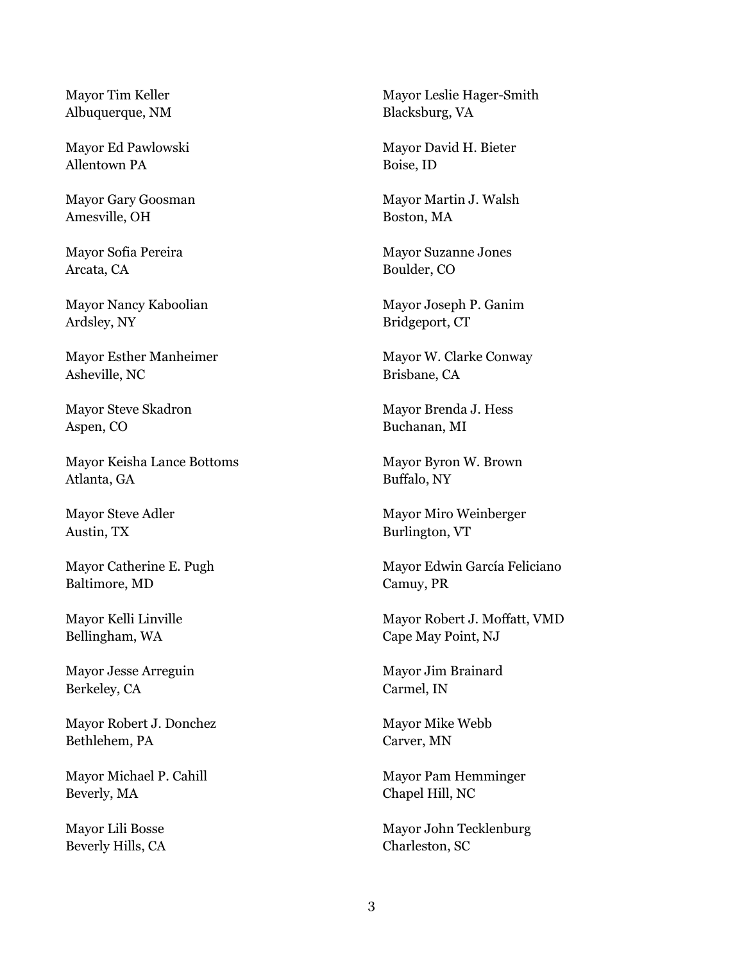Mayor Tim Keller Albuquerque, NM

Mayor Ed Pawlowski Allentown PA

Mayor Gary Goosman Amesville, OH

Mayor Sofia Pereira Arcata, CA

Mayor Nancy Kaboolian Ardsley, NY

Mayor Esther Manheimer Asheville, NC

Mayor Steve Skadron Aspen, CO

Mayor Keisha Lance Bottoms Atlanta, GA

Mayor Steve Adler Austin, TX

Mayor Catherine E. Pugh Baltimore, MD

Mayor Kelli Linville Bellingham, WA

Mayor Jesse Arreguin Berkeley, CA

Mayor Robert J. Donchez Bethlehem, PA

Mayor Michael P. Cahill Beverly, MA

Mayor Lili Bosse Beverly Hills, CA Mayor Leslie Hager-Smith Blacksburg, VA

Mayor David H. Bieter Boise, ID

Mayor Martin J. Walsh Boston, MA

Mayor Suzanne Jones Boulder, CO

Mayor Joseph P. Ganim Bridgeport, CT

Mayor W. Clarke Conway Brisbane, CA

Mayor Brenda J. Hess Buchanan, MI

Mayor Byron W. Brown Buffalo, NY

Mayor Miro Weinberger Burlington, VT

Mayor Edwin García Feliciano Camuy, PR

Mayor Robert J. Moffatt, VMD Cape May Point, NJ

Mayor Jim Brainard Carmel, IN

Mayor Mike Webb Carver, MN

Mayor Pam Hemminger Chapel Hill, NC

Mayor John Tecklenburg Charleston, SC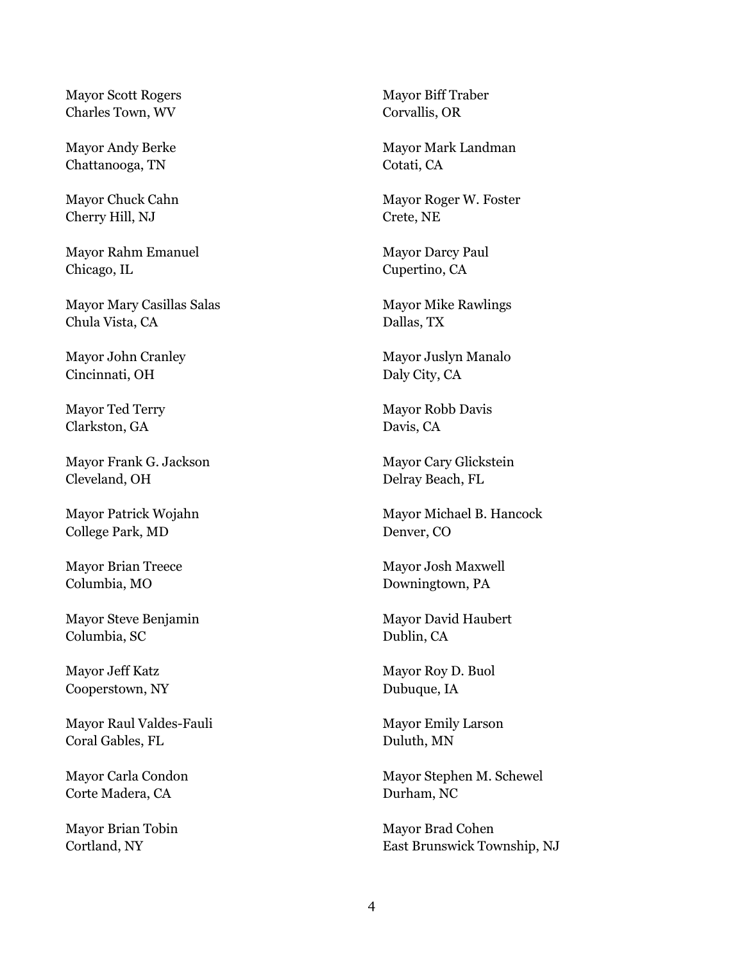Mayor Scott Rogers Charles Town, WV

Mayor Andy Berke Chattanooga, TN

Mayor Chuck Cahn Cherry Hill, NJ

Mayor Rahm Emanuel Chicago, IL

Mayor Mary Casillas Salas Chula Vista, CA

Mayor John Cranley Cincinnati, OH

Mayor Ted Terry Clarkston, GA

Mayor Frank G. Jackson Cleveland, OH

Mayor Patrick Wojahn College Park, MD

Mayor Brian Treece Columbia, MO

Mayor Steve Benjamin Columbia, SC

Mayor Jeff Katz Cooperstown, NY

Mayor Raul Valdes-Fauli Coral Gables, FL

Mayor Carla Condon Corte Madera, CA

Mayor Brian Tobin Cortland, NY

Mayor Biff Traber Corvallis, OR

Mayor Mark Landman Cotati, CA

Mayor Roger W. Foster Crete, NE

Mayor Darcy Paul Cupertino, CA

Mayor Mike Rawlings Dallas, TX

Mayor Juslyn Manalo Daly City, CA

Mayor Robb Davis Davis, CA

Mayor Cary Glickstein Delray Beach, FL

Mayor Michael B. Hancock Denver, CO

Mayor Josh Maxwell Downingtown, PA

Mayor David Haubert Dublin, CA

Mayor Roy D. Buol Dubuque, IA

Mayor Emily Larson Duluth, MN

Mayor Stephen M. Schewel Durham, NC

Mayor Brad Cohen East Brunswick Township, NJ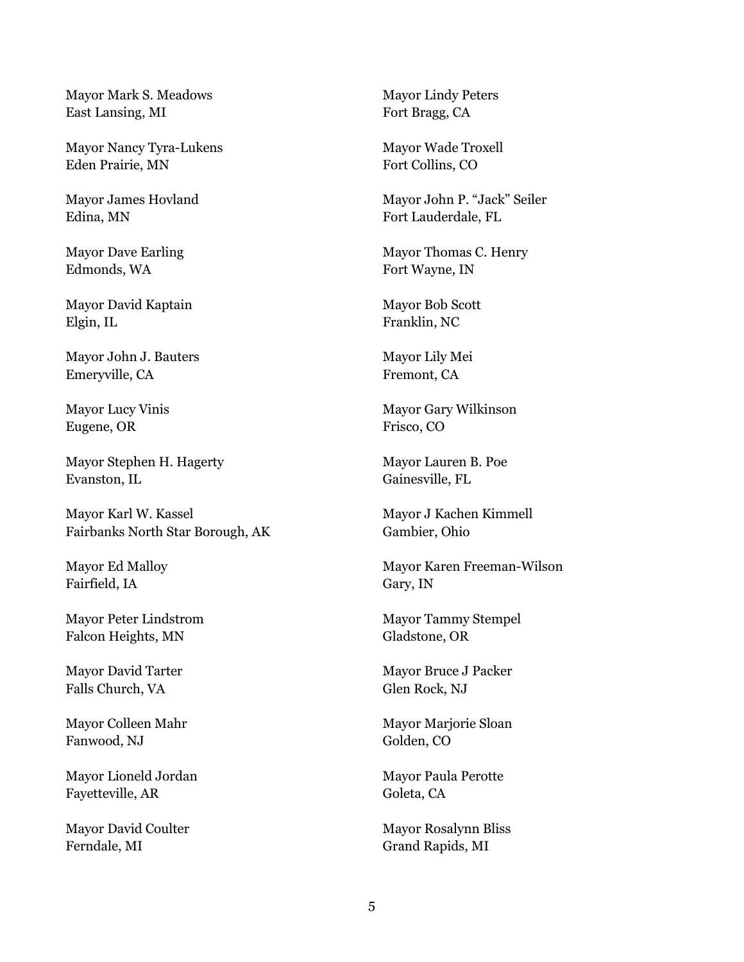Mayor Mark S. Meadows East Lansing, MI

Mayor Nancy Tyra-Lukens Eden Prairie, MN

Mayor James Hovland Edina, MN

Mayor Dave Earling Edmonds, WA

Mayor David Kaptain Elgin, IL

Mayor John J. Bauters Emeryville, CA

Mayor Lucy Vinis Eugene, OR

Mayor Stephen H. Hagerty Evanston, IL

Mayor Karl W. Kassel Fairbanks North Star Borough, AK

Mayor Ed Malloy Fairfield, IA

Mayor Peter Lindstrom Falcon Heights, MN

Mayor David Tarter Falls Church, VA

Mayor Colleen Mahr Fanwood, NJ

Mayor Lioneld Jordan Fayetteville, AR

Mayor David Coulter Ferndale, MI

Mayor Lindy Peters Fort Bragg, CA

Mayor Wade Troxell Fort Collins, CO

Mayor John P. "Jack" Seiler Fort Lauderdale, FL

Mayor Thomas C. Henry Fort Wayne, IN

Mayor Bob Scott Franklin, NC

Mayor Lily Mei Fremont, CA

Mayor Gary Wilkinson Frisco, CO

Mayor Lauren B. Poe Gainesville, FL

Mayor J Kachen Kimmell Gambier, Ohio

Mayor Karen Freeman-Wilson Gary, IN

Mayor Tammy Stempel Gladstone, OR

Mayor Bruce J Packer Glen Rock, NJ

Mayor Marjorie Sloan Golden, CO

Mayor Paula Perotte Goleta, CA

Mayor Rosalynn Bliss Grand Rapids, MI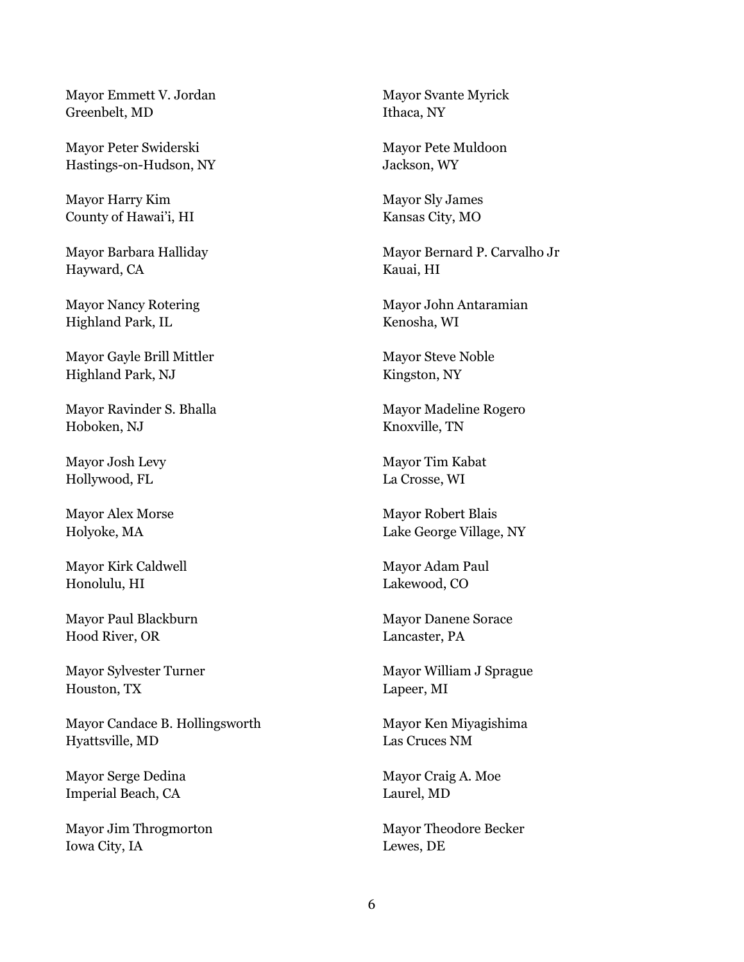Mayor Emmett V. Jordan Greenbelt, MD

Mayor Peter Swiderski Hastings-on-Hudson, NY

Mayor Harry Kim County of Hawai'i, HI

Mayor Barbara Halliday Hayward, CA

Mayor Nancy Rotering Highland Park, IL

Mayor Gayle Brill Mittler Highland Park, NJ

Mayor Ravinder S. Bhalla Hoboken, NJ

Mayor Josh Levy Hollywood, FL

Mayor Alex Morse Holyoke, MA

Mayor Kirk Caldwell Honolulu, HI

Mayor Paul Blackburn Hood River, OR

Mayor Sylvester Turner Houston, TX

Mayor Candace B. Hollingsworth Hyattsville, MD

Mayor Serge Dedina Imperial Beach, CA

Mayor Jim Throgmorton Iowa City, IA

Mayor Svante Myrick Ithaca, NY

Mayor Pete Muldoon Jackson, WY

Mayor Sly James Kansas City, MO

Mayor Bernard P. Carvalho Jr Kauai, HI

Mayor John Antaramian Kenosha, WI

Mayor Steve Noble Kingston, NY

Mayor Madeline Rogero Knoxville, TN

Mayor Tim Kabat [La Crosse,](https://maps.google.com/?q=City+of+La+Crosse%0D+400+La+Crosse+Street%0D+La+Crosse,+WI+54601&entry=gmail&source=g) WI

Mayor Robert Blais Lake George Village, NY

Mayor Adam Paul Lakewood, CO

Mayor Danene Sorace Lancaster, PA

Mayor William J Sprague Lapeer, MI

Mayor Ken Miyagishima Las Cruces NM

Mayor Craig A. Moe Laurel, MD

Mayor Theodore Becker Lewes, DE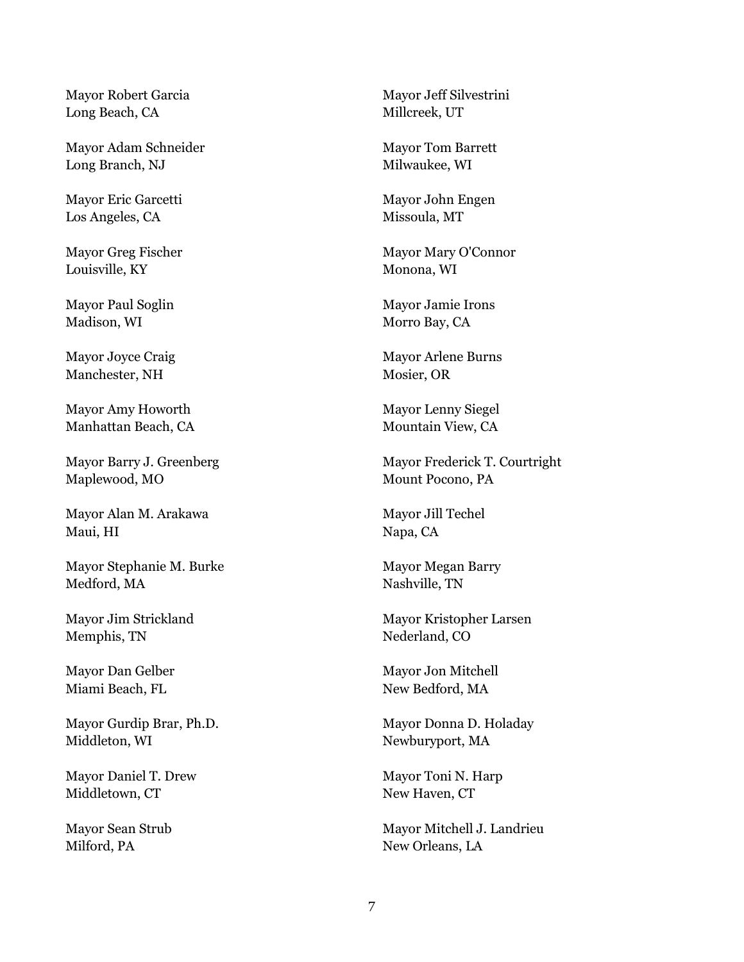Mayor Robert Garcia Long Beach, CA

Mayor Adam Schneider Long Branch, NJ

Mayor Eric Garcetti Los Angeles, CA

Mayor Greg Fischer Louisville, KY

Mayor Paul Soglin Madison, WI

Mayor Joyce Craig Manchester, NH

Mayor Amy Howorth Manhattan Beach, CA

Mayor Barry J. Greenberg Maplewood, MO

Mayor Alan M. Arakawa Maui, HI

Mayor Stephanie M. Burke Medford, MA

Mayor Jim Strickland Memphis, TN

Mayor Dan Gelber Miami Beach, FL

Mayor Gurdip Brar, Ph.D. Middleton, WI

Mayor Daniel T. Drew Middletown, CT

Mayor Sean Strub Milford, PA

Mayor Jeff Silvestrini Millcreek, UT

Mayor Tom Barrett Milwaukee, WI

Mayor John Engen Missoula, MT

Mayor Mary O'Connor Monona, WI

Mayor Jamie Irons Morro Bay, CA

Mayor Arlene Burns Mosier, OR

Mayor Lenny Siegel Mountain View, CA

Mayor Frederick T. Courtright Mount Pocono, PA

Mayor Jill Techel Napa, CA

Mayor Megan Barry Nashville, TN

Mayor Kristopher Larsen Nederland, CO

Mayor Jon Mitchell New Bedford, MA

Mayor Donna D. Holaday Newburyport, MA

Mayor Toni N. Harp New Haven, CT

Mayor Mitchell J. Landrieu New Orleans, LA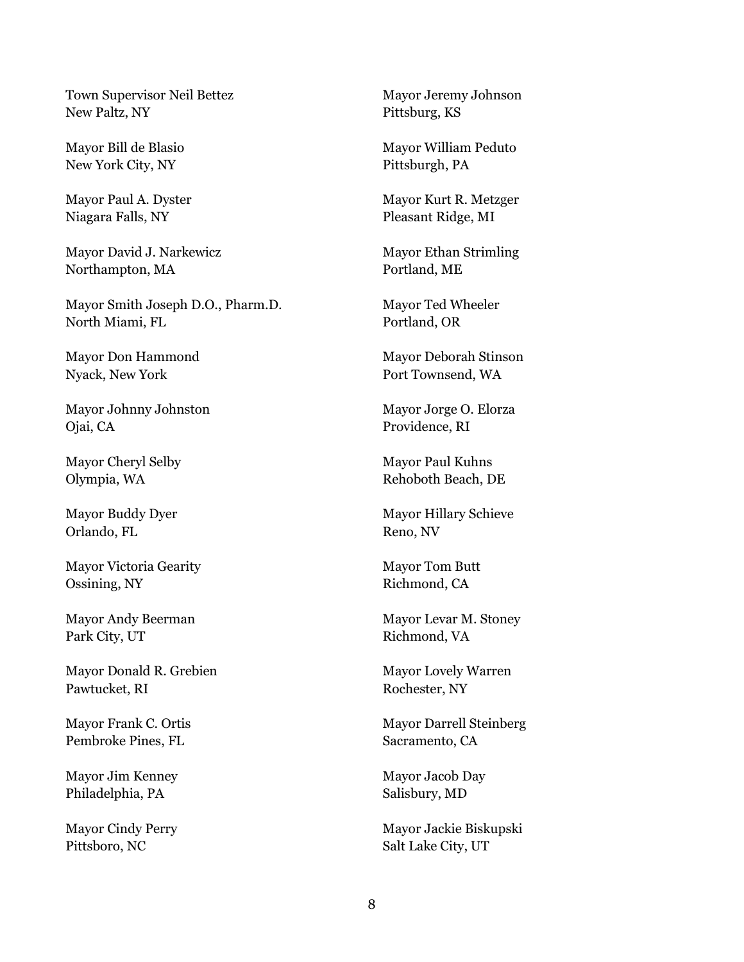Town Supervisor Neil Bettez New Paltz, NY

Mayor Bill de Blasio New York City, NY

Mayor Paul A. Dyster Niagara Falls, NY

Mayor David J. Narkewicz Northampton, MA

Mayor Smith Joseph D.O., Pharm.D. North Miami, FL

Mayor Don Hammond Nyack, New York

Mayor Johnny Johnston Ojai, CA

Mayor Cheryl Selby Olympia, WA

Mayor Buddy Dyer Orlando, FL

Mayor Victoria Gearity Ossining, NY

Mayor Andy Beerman Park City, UT

Mayor Donald R. Grebien Pawtucket, RI

Mayor Frank C. Ortis Pembroke Pines, FL

Mayor Jim Kenney Philadelphia, PA

Mayor Cindy Perry Pittsboro, NC

Mayor Jeremy Johnson Pittsburg, KS

Mayor William Peduto Pittsburgh, PA

Mayor Kurt R. Metzger Pleasant Ridge, MI

Mayor Ethan Strimling Portland, ME

Mayor Ted Wheeler Portland, OR

Mayor Deborah Stinson Port Townsend, WA

Mayor Jorge O. Elorza Providence, RI

Mayor Paul Kuhns Rehoboth Beach, DE

Mayor Hillary Schieve Reno, NV

Mayor Tom Butt Richmond, CA

Mayor Levar M. Stoney Richmond, VA

Mayor Lovely Warren Rochester, NY

Mayor Darrell Steinberg Sacramento, CA

Mayor Jacob Day Salisbury, MD

Mayor Jackie Biskupski Salt Lake City, UT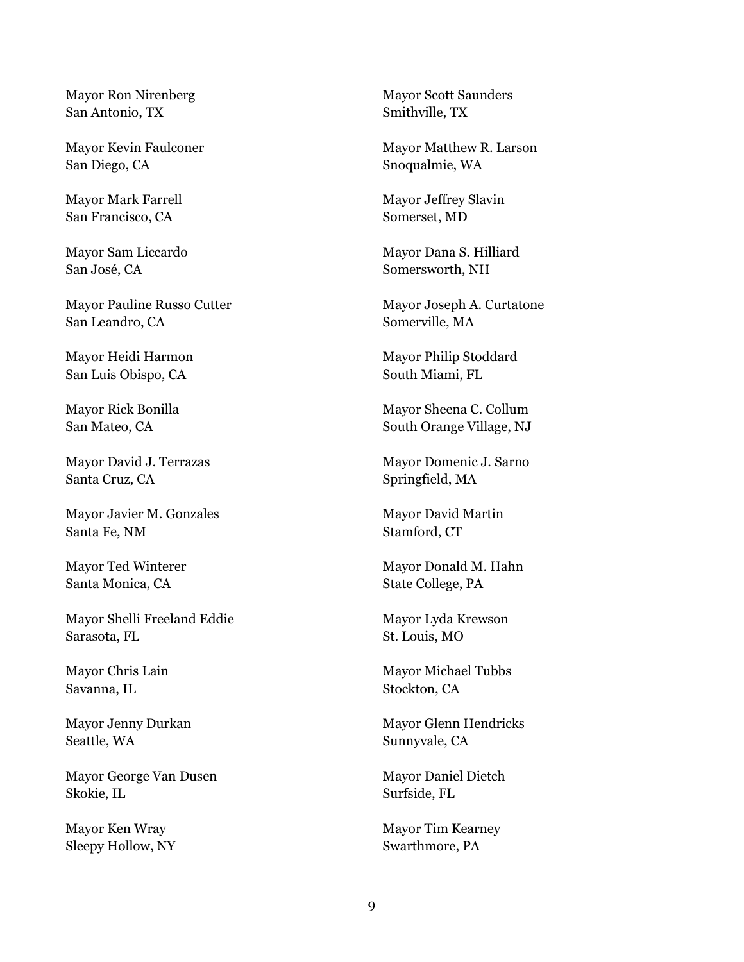Mayor Ron Nirenberg San Antonio, TX

Mayor Kevin Faulconer San Diego, CA

Mayor Mark Farrell San Francisco, CA

Mayor Sam Liccardo San José, CA

Mayor Pauline Russo Cutter San Leandro, CA

Mayor Heidi Harmon San Luis Obispo, CA

Mayor Rick Bonilla San Mateo, CA

Mayor David J. Terrazas Santa Cruz, CA

Mayor Javier M. Gonzales Santa Fe, NM

Mayor Ted Winterer Santa Monica, CA

Mayor Shelli Freeland Eddie Sarasota, FL

Mayor Chris Lain Savanna, IL

Mayor Jenny Durkan Seattle, WA

Mayor George Van Dusen Skokie, IL

Mayor Ken Wray Sleepy Hollow, NY Mayor Scott Saunders Smithville, TX

Mayor Matthew R. Larson Snoqualmie, WA

Mayor Jeffrey Slavin Somerset, MD

Mayor Dana S. Hilliard Somersworth, NH

Mayor Joseph A. Curtatone Somerville, MA

Mayor Philip Stoddard South Miami, FL

Mayor Sheena C. Collum South Orange Village, NJ

Mayor Domenic J. Sarno Springfield, MA

Mayor David Martin Stamford, CT

Mayor Donald M. Hahn State College, PA

Mayor Lyda Krewson St. Louis, MO

Mayor Michael Tubbs Stockton, CA

Mayor Glenn Hendricks Sunnyvale, CA

Mayor Daniel Dietch Surfside, FL

Mayor Tim Kearney Swarthmore, PA